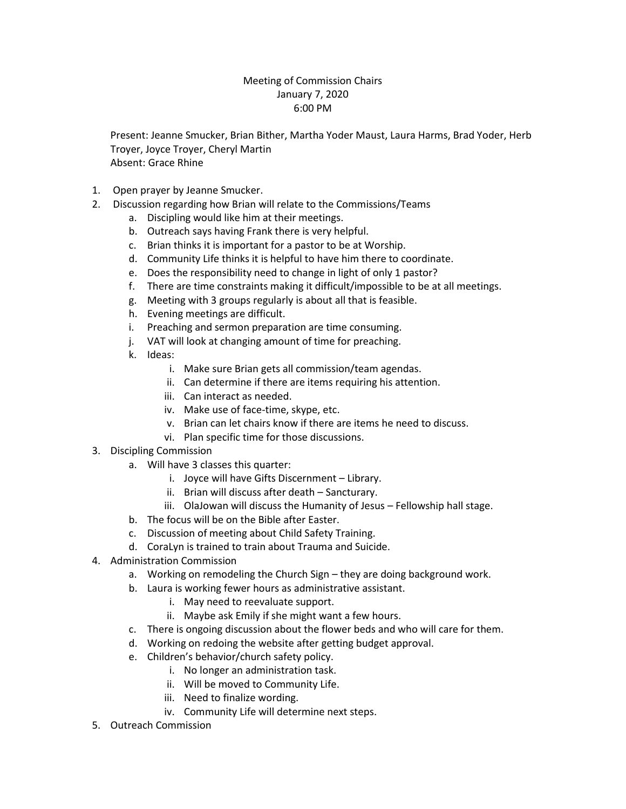## Meeting of Commission Chairs January 7, 2020 6:00 PM

Present: Jeanne Smucker, Brian Bither, Martha Yoder Maust, Laura Harms, Brad Yoder, Herb Troyer, Joyce Troyer, Cheryl Martin Absent: Grace Rhine

- 1. Open prayer by Jeanne Smucker.
- 2. Discussion regarding how Brian will relate to the Commissions/Teams
	- a. Discipling would like him at their meetings.
	- b. Outreach says having Frank there is very helpful.
	- c. Brian thinks it is important for a pastor to be at Worship.
	- d. Community Life thinks it is helpful to have him there to coordinate.
	- e. Does the responsibility need to change in light of only 1 pastor?
	- f. There are time constraints making it difficult/impossible to be at all meetings.
	- g. Meeting with 3 groups regularly is about all that is feasible.
	- h. Evening meetings are difficult.
	- i. Preaching and sermon preparation are time consuming.
	- j. VAT will look at changing amount of time for preaching.
	- k. Ideas:
		- i. Make sure Brian gets all commission/team agendas.
		- ii. Can determine if there are items requiring his attention.
		- iii. Can interact as needed.
		- iv. Make use of face-time, skype, etc.
		- v. Brian can let chairs know if there are items he need to discuss.
		- vi. Plan specific time for those discussions.
- 3. Discipling Commission
	- a. Will have 3 classes this quarter:
		- i. Joyce will have Gifts Discernment Library.
		- ii. Brian will discuss after death Sancturary.
		- iii. OlaJowan will discuss the Humanity of Jesus Fellowship hall stage.
	- b. The focus will be on the Bible after Easter.
	- c. Discussion of meeting about Child Safety Training.
	- d. CoraLyn is trained to train about Trauma and Suicide.
- 4. Administration Commission
	- a. Working on remodeling the Church Sign they are doing background work.
	- b. Laura is working fewer hours as administrative assistant.
		- i. May need to reevaluate support.
			- ii. Maybe ask Emily if she might want a few hours.
	- c. There is ongoing discussion about the flower beds and who will care for them.
	- d. Working on redoing the website after getting budget approval.
	- e. Children's behavior/church safety policy.
		- i. No longer an administration task.
		- ii. Will be moved to Community Life.
		- iii. Need to finalize wording.
		- iv. Community Life will determine next steps.
- 5. Outreach Commission